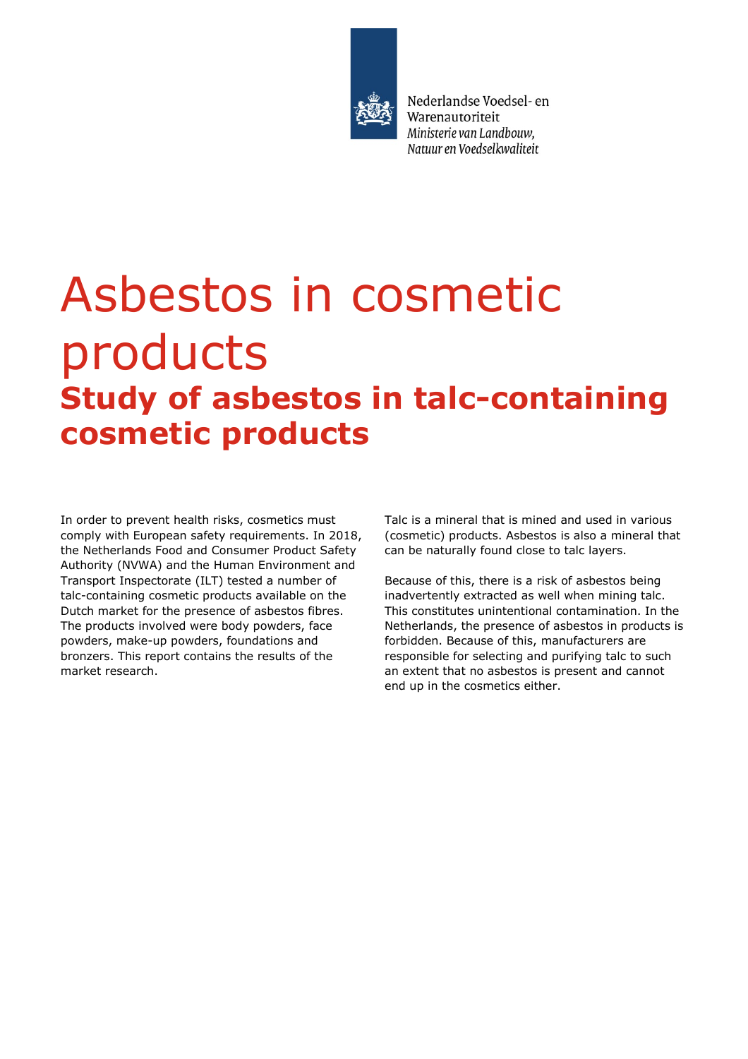

Nederlandse Voedsel- en Warenautoriteit Ministerie van Landbouw. Natuur en Voedselkwaliteit

# Asbestos in cosmetic products **Study of asbestos in talc-containing cosmetic products**

In order to prevent health risks, cosmetics must comply with European safety requirements. In 2018, the Netherlands Food and Consumer Product Safety Authority (NVWA) and the Human Environment and Transport Inspectorate (ILT) tested a number of talc-containing cosmetic products available on the Dutch market for the presence of asbestos fibres. The products involved were body powders, face powders, make-up powders, foundations and bronzers. This report contains the results of the market research.

Talc is a mineral that is mined and used in various (cosmetic) products. Asbestos is also a mineral that can be naturally found close to talc layers.

Because of this, there is a risk of asbestos being inadvertently extracted as well when mining talc. This constitutes unintentional contamination. In the Netherlands, the presence of asbestos in products is forbidden. Because of this, manufacturers are responsible for selecting and purifying talc to such an extent that no asbestos is present and cannot end up in the cosmetics either.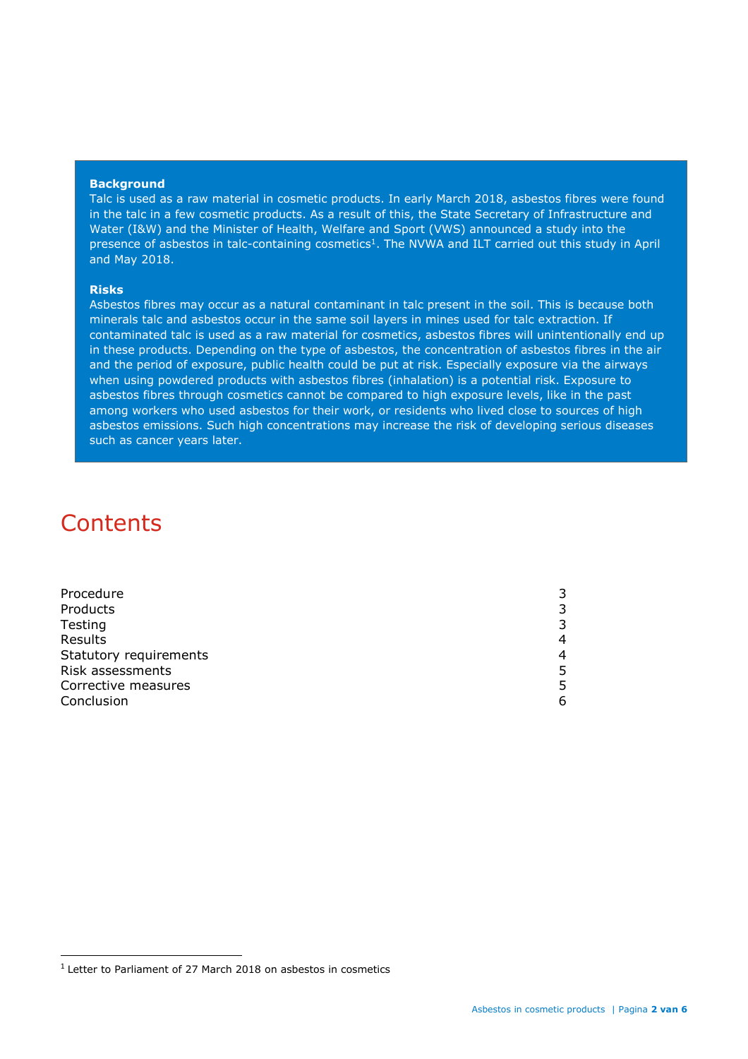#### **Background**

Talc is used as a raw material in cosmetic products. In early March 2018, asbestos fibres were found in the talc in a few cosmetic products. As a result of this, the State Secretary of Infrastructure and Water (I&W) and the Minister of Health, Welfare and Sport (VWS) announced a study into the presence of asbestos in talc-containing cosmetics<sup>1</sup>. The NVWA and ILT carried out this study in April and May 2018.

#### **Risks**

Asbestos fibres may occur as a natural contaminant in talc present in the soil. This is because both minerals talc and asbestos occur in the same soil layers in mines used for talc extraction. If contaminated talc is used as a raw material for cosmetics, asbestos fibres will unintentionally end up in these products. Depending on the type of asbestos, the concentration of asbestos fibres in the air and the period of exposure, public health could be put at risk. Especially exposure via the airways when using powdered products with asbestos fibres (inhalation) is a potential risk. Exposure to asbestos fibres through cosmetics cannot be compared to high exposure levels, like in the past among workers who used asbestos for their work, or residents who lived close to sources of high asbestos emissions. Such high concentrations may increase the risk of developing serious diseases such as cancer years later.

# **Contents**

ı

| Procedure              |   |
|------------------------|---|
| Products               |   |
| Testing                | 3 |
| Results                | 4 |
| Statutory requirements | 4 |
| Risk assessments       | 5 |
| Corrective measures    |   |
| Conclusion             | 6 |
|                        |   |

<sup>&</sup>lt;sup>1</sup> Letter to Parliament of 27 March 2018 on asbestos in cosmetics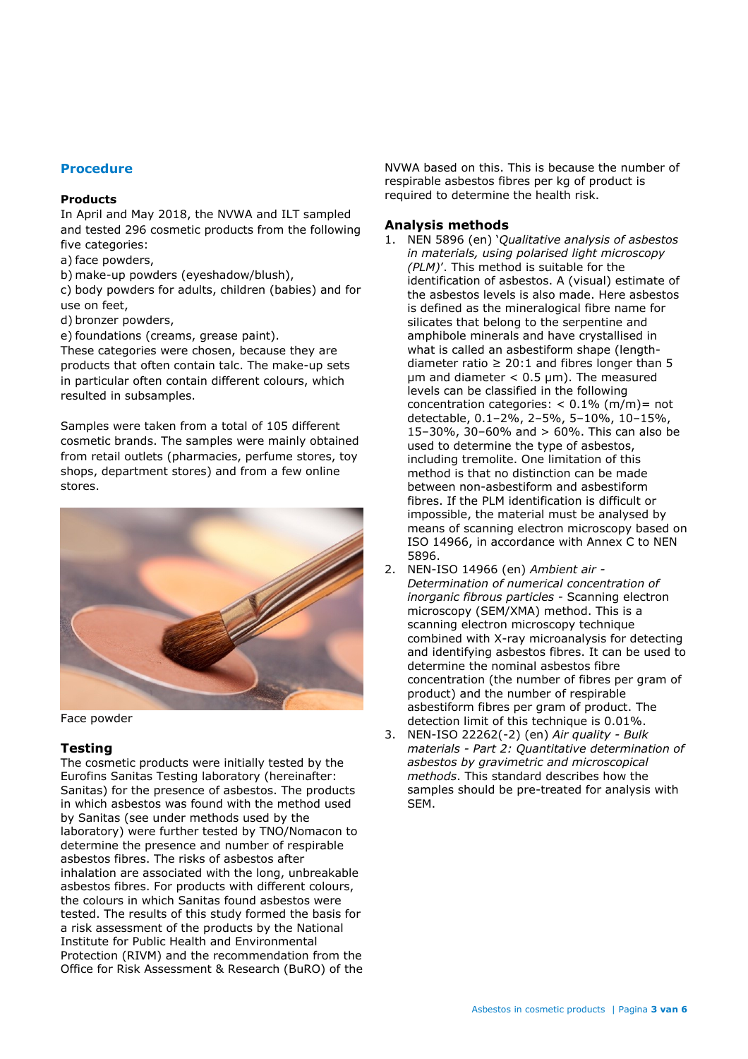# **Procedure**

#### **Products**

In April and May 2018, the NVWA and ILT sampled and tested 296 cosmetic products from the following five categories:

a) face powders,

b) make-up powders (eyeshadow/blush),

c) body powders for adults, children (babies) and for use on feet,

d) bronzer powders,

e) foundations (creams, grease paint).

These categories were chosen, because they are products that often contain talc. The make-up sets in particular often contain different colours, which resulted in subsamples.

Samples were taken from a total of 105 different cosmetic brands. The samples were mainly obtained from retail outlets (pharmacies, perfume stores, toy shops, department stores) and from a few online stores.



Face powder

# **Testing**

The cosmetic products were initially tested by the Eurofins Sanitas Testing laboratory (hereinafter: Sanitas) for the presence of asbestos. The products in which asbestos was found with the method used by Sanitas (see under methods used by the laboratory) were further tested by TNO/Nomacon to determine the presence and number of respirable asbestos fibres. The risks of asbestos after inhalation are associated with the long, unbreakable asbestos fibres. For products with different colours, the colours in which Sanitas found asbestos were tested. The results of this study formed the basis for a risk assessment of the products by the National Institute for Public Health and Environmental Protection (RIVM) and the recommendation from the Office for Risk Assessment & Research (BuRO) of the NVWA based on this. This is because the number of respirable asbestos fibres per kg of product is required to determine the health risk.

### **Analysis methods**

- 1. NEN 5896 (en) '*Qualitative analysis of asbestos in materials, using polarised light microscopy (PLM)*'. This method is suitable for the identification of asbestos. A (visual) estimate of the asbestos levels is also made. Here asbestos is defined as the mineralogical fibre name for silicates that belong to the serpentine and amphibole minerals and have crystallised in what is called an asbestiform shape (lengthdiameter ratio  $\geq 20:1$  and fibres longer than 5  $µm$  and diameter < 0.5  $µm$ ). The measured levels can be classified in the following concentration categories:  $< 0.1\%$  (m/m)= not detectable, 0.1–2%, 2–5%, 5–10%, 10–15%, 15–30%, 30–60% and > 60%. This can also be used to determine the type of asbestos, including tremolite. One limitation of this method is that no distinction can be made between non-asbestiform and asbestiform fibres. If the PLM identification is difficult or impossible, the material must be analysed by means of scanning electron microscopy based on ISO 14966, in accordance with Annex C to NEN 5896.
- 2. NEN-ISO 14966 (en) *Ambient air - Determination of numerical concentration of inorganic fibrous particles* - Scanning electron microscopy (SEM/XMA) method. This is a scanning electron microscopy technique combined with X-ray microanalysis for detecting and identifying asbestos fibres. It can be used to determine the nominal asbestos fibre concentration (the number of fibres per gram of product) and the number of respirable asbestiform fibres per gram of product. The detection limit of this technique is 0.01%.
- 3. NEN-ISO 22262(-2) (en) *Air quality - Bulk materials - Part 2: Quantitative determination of asbestos by gravimetric and microscopical methods*. This standard describes how the samples should be pre-treated for analysis with SEM.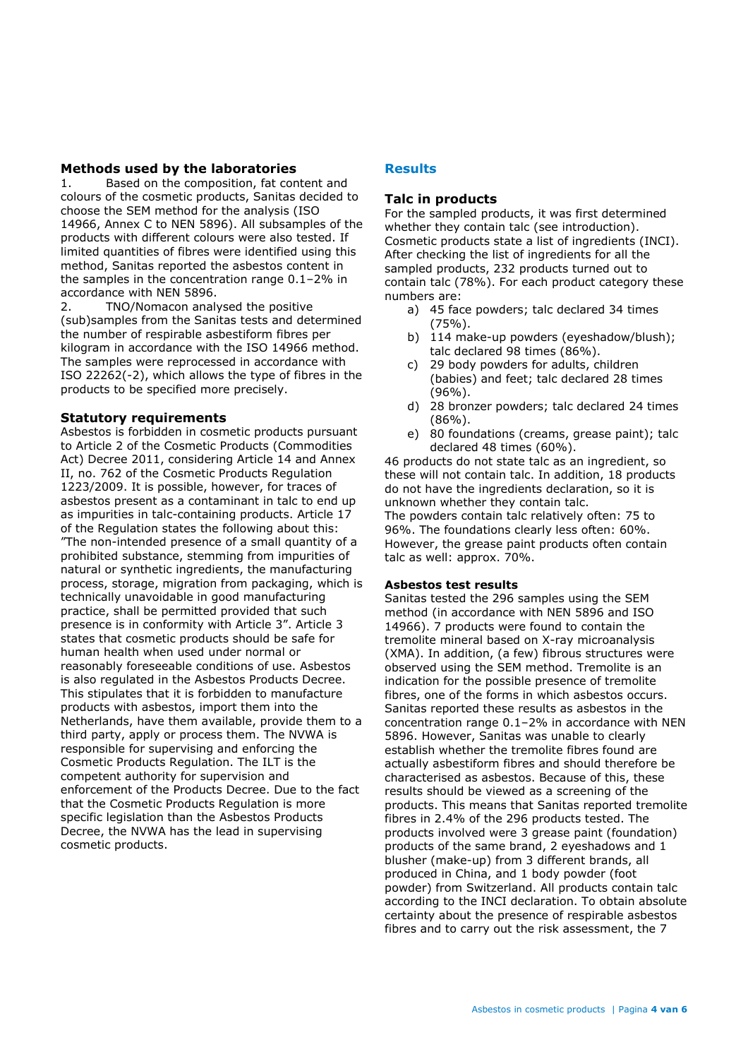# **Methods used by the laboratories**

1. Based on the composition, fat content and colours of the cosmetic products, Sanitas decided to choose the SEM method for the analysis (ISO 14966, Annex C to NEN 5896). All subsamples of the products with different colours were also tested. If limited quantities of fibres were identified using this method, Sanitas reported the asbestos content in the samples in the concentration range 0.1–2% in accordance with NEN 5896.

2. TNO/Nomacon analysed the positive (sub)samples from the Sanitas tests and determined the number of respirable asbestiform fibres per kilogram in accordance with the ISO 14966 method. The samples were reprocessed in accordance with ISO 22262(-2), which allows the type of fibres in the products to be specified more precisely.

#### **Statutory requirements**

Asbestos is forbidden in cosmetic products pursuant to Article 2 of the Cosmetic Products (Commodities Act) Decree 2011, considering Article 14 and Annex II, no. 762 of the Cosmetic Products Regulation 1223/2009. It is possible, however, for traces of asbestos present as a contaminant in talc to end up as impurities in talc-containing products. Article 17 of the Regulation states the following about this: "The non-intended presence of a small quantity of a prohibited substance, stemming from impurities of natural or synthetic ingredients, the manufacturing process, storage, migration from packaging, which is technically unavoidable in good manufacturing practice, shall be permitted provided that such presence is in conformity with Article 3". Article 3 states that cosmetic products should be safe for human health when used under normal or reasonably foreseeable conditions of use. Asbestos is also regulated in the Asbestos Products Decree. This stipulates that it is forbidden to manufacture products with asbestos, import them into the Netherlands, have them available, provide them to a third party, apply or process them. The NVWA is responsible for supervising and enforcing the Cosmetic Products Regulation. The ILT is the competent authority for supervision and enforcement of the Products Decree. Due to the fact that the Cosmetic Products Regulation is more specific legislation than the Asbestos Products Decree, the NVWA has the lead in supervising cosmetic products.

# **Results**

# **Talc in products**

For the sampled products, it was first determined whether they contain talc (see introduction). Cosmetic products state a list of ingredients (INCI). After checking the list of ingredients for all the sampled products, 232 products turned out to contain talc (78%). For each product category these numbers are:

- a) 45 face powders; talc declared 34 times (75%).
- b) 114 make-up powders (eyeshadow/blush); talc declared 98 times (86%).
- c) 29 body powders for adults, children (babies) and feet; talc declared 28 times (96%).
- d) 28 bronzer powders; talc declared 24 times (86%).
- e) 80 foundations (creams, grease paint); talc declared 48 times (60%).

46 products do not state talc as an ingredient, so these will not contain talc. In addition, 18 products do not have the ingredients declaration, so it is unknown whether they contain talc. The powders contain talc relatively often: 75 to 96%. The foundations clearly less often: 60%. However, the grease paint products often contain talc as well: approx. 70%.

#### **Asbestos test results**

Sanitas tested the 296 samples using the SEM method (in accordance with NEN 5896 and ISO 14966). 7 products were found to contain the tremolite mineral based on X-ray microanalysis (XMA). In addition, (a few) fibrous structures were observed using the SEM method. Tremolite is an indication for the possible presence of tremolite fibres, one of the forms in which asbestos occurs. Sanitas reported these results as asbestos in the concentration range 0.1–2% in accordance with NEN 5896. However, Sanitas was unable to clearly establish whether the tremolite fibres found are actually asbestiform fibres and should therefore be characterised as asbestos. Because of this, these results should be viewed as a screening of the products. This means that Sanitas reported tremolite fibres in 2.4% of the 296 products tested. The products involved were 3 grease paint (foundation) products of the same brand, 2 eyeshadows and 1 blusher (make-up) from 3 different brands, all produced in China, and 1 body powder (foot powder) from Switzerland. All products contain talc according to the INCI declaration. To obtain absolute certainty about the presence of respirable asbestos fibres and to carry out the risk assessment, the 7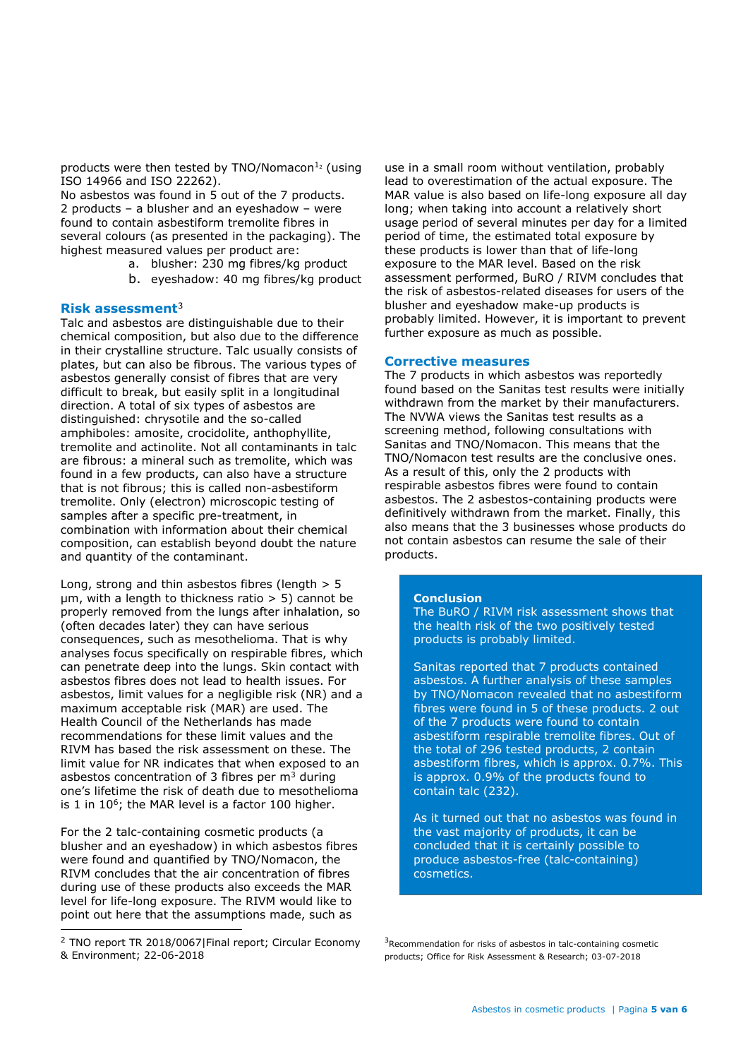products were then tested by TNO/Nomacon $12$  (using ISO 14966 and ISO 22262).

No asbestos was found in 5 out of the 7 products. 2 products – a blusher and an eyeshadow – were found to contain asbestiform tremolite fibres in several colours (as presented in the packaging). The highest measured values per product are:

- a. blusher: 230 mg fibres/kg product
- b. eyeshadow: 40 mg fibres/kg product

#### **Risk assessment**<sup>3</sup>

Talc and asbestos are distinguishable due to their chemical composition, but also due to the difference in their crystalline structure. Talc usually consists of plates, but can also be fibrous. The various types of asbestos generally consist of fibres that are very difficult to break, but easily split in a longitudinal direction. A total of six types of asbestos are distinguished: chrysotile and the so-called amphiboles: amosite, crocidolite, anthophyllite, tremolite and actinolite. Not all contaminants in talc are fibrous: a mineral such as tremolite, which was found in a few products, can also have a structure that is not fibrous; this is called non-asbestiform tremolite. Only (electron) microscopic testing of samples after a specific pre-treatment, in combination with information about their chemical composition, can establish beyond doubt the nature and quantity of the contaminant.

Long, strong and thin asbestos fibres (length > 5  $µm$ , with a length to thickness ratio  $> 5$ ) cannot be properly removed from the lungs after inhalation, so (often decades later) they can have serious consequences, such as mesothelioma. That is why analyses focus specifically on respirable fibres, which can penetrate deep into the lungs. Skin contact with asbestos fibres does not lead to health issues. For asbestos, limit values for a negligible risk (NR) and a maximum acceptable risk (MAR) are used. The Health Council of the Netherlands has made recommendations for these limit values and the RIVM has based the risk assessment on these. The limit value for NR indicates that when exposed to an asbestos concentration of 3 fibres per  $m<sup>3</sup>$  during one's lifetime the risk of death due to mesothelioma is 1 in  $10^6$ ; the MAR level is a factor 100 higher.

For the 2 talc-containing cosmetic products (a blusher and an eyeshadow) in which asbestos fibres were found and quantified by TNO/Nomacon, the RIVM concludes that the air concentration of fibres during use of these products also exceeds the MAR level for life-long exposure. The RIVM would like to point out here that the assumptions made, such as

ı

use in a small room without ventilation, probably lead to overestimation of the actual exposure. The MAR value is also based on life-long exposure all day long; when taking into account a relatively short usage period of several minutes per day for a limited period of time, the estimated total exposure by these products is lower than that of life-long exposure to the MAR level. Based on the risk assessment performed, BuRO / RIVM concludes that the risk of asbestos-related diseases for users of the blusher and eyeshadow make-up products is probably limited. However, it is important to prevent further exposure as much as possible.

#### **Corrective measures**

The 7 products in which asbestos was reportedly found based on the Sanitas test results were initially withdrawn from the market by their manufacturers. The NVWA views the Sanitas test results as a screening method, following consultations with Sanitas and TNO/Nomacon. This means that the TNO/Nomacon test results are the conclusive ones. As a result of this, only the 2 products with respirable asbestos fibres were found to contain asbestos. The 2 asbestos-containing products were definitively withdrawn from the market. Finally, this also means that the 3 businesses whose products do not contain asbestos can resume the sale of their products.

#### **Conclusion**

The BuRO / RIVM risk assessment shows that the health risk of the two positively tested products is probably limited.

Sanitas reported that 7 products contained asbestos. A further analysis of these samples by TNO/Nomacon revealed that no asbestiform fibres were found in 5 of these products. 2 out of the 7 products were found to contain asbestiform respirable tremolite fibres. Out of the total of 296 tested products, 2 contain asbestiform fibres, which is approx. 0.7%. This is approx. 0.9% of the products found to contain talc (232).

As it turned out that no asbestos was found in the vast majority of products, it can be concluded that it is certainly possible to produce asbestos-free (talc-containing) cosmetics.

<sup>2</sup> TNO report TR 2018/0067|Final report; Circular Economy & Environment; 22-06-2018

<sup>&</sup>lt;sup>3</sup>Recommendation for risks of asbestos in talc-containing cosmetic products; Office for Risk Assessment & Research; 03-07-2018